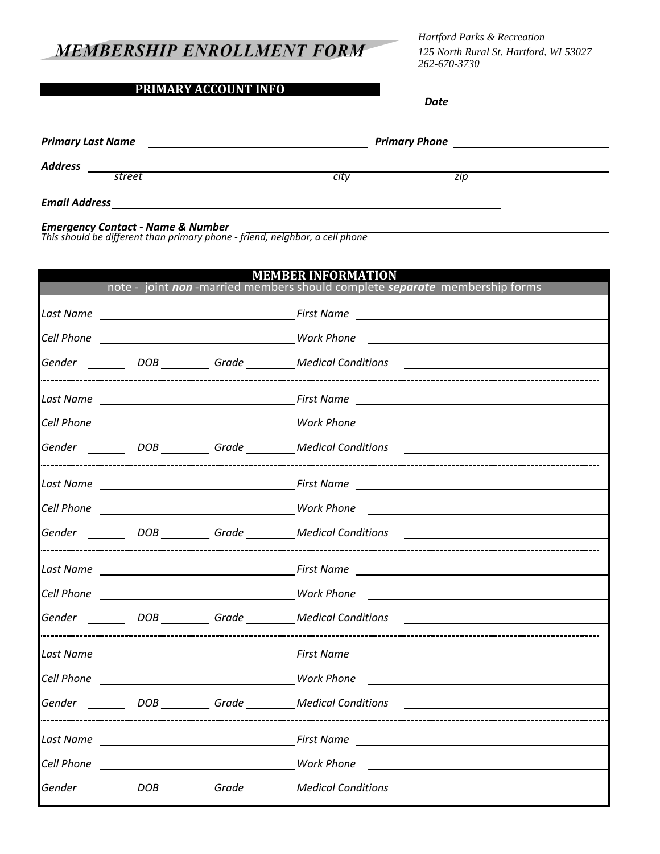## **MEMBERSHIP ENROLLMENT FORM**

## **PRIMARY ACCOUNT INFO**

*Hartford Parks & Recreation 125 North Rural St, Hartford, WI 53027 262-670-3730*

*Date*

Primary Last Name **Primary Phone** Primary Phone **Primary Phone Primary Phone Primary Phone Primary Phone Primary Phone Primary Phone Primary Phone Primary Phone Primary Phone Primary Phone Primary Phone** 

*Address*

*Email Address*

*Emergency Contact - Name & Number*

*This should be different than primary phone - friend, neighbor, a cell phone*

*street city zip*

| MEMBER INFORMATION<br>note - joint non -married members should complete separate membership forms |  |  |                                                                                                                                                                                                                                |  |  |  |  |
|---------------------------------------------------------------------------------------------------|--|--|--------------------------------------------------------------------------------------------------------------------------------------------------------------------------------------------------------------------------------|--|--|--|--|
|                                                                                                   |  |  |                                                                                                                                                                                                                                |  |  |  |  |
|                                                                                                   |  |  |                                                                                                                                                                                                                                |  |  |  |  |
|                                                                                                   |  |  |                                                                                                                                                                                                                                |  |  |  |  |
|                                                                                                   |  |  | Gender ________ DOB _________ Grade ________ Medical Conditions ________________                                                                                                                                               |  |  |  |  |
|                                                                                                   |  |  |                                                                                                                                                                                                                                |  |  |  |  |
|                                                                                                   |  |  |                                                                                                                                                                                                                                |  |  |  |  |
|                                                                                                   |  |  | Gender ________ DOB _________ Grade _________ Medical Conditions _______________                                                                                                                                               |  |  |  |  |
|                                                                                                   |  |  |                                                                                                                                                                                                                                |  |  |  |  |
|                                                                                                   |  |  |                                                                                                                                                                                                                                |  |  |  |  |
|                                                                                                   |  |  | Gender ________ DOB _________ Grade ________ Medical Conditions ________________                                                                                                                                               |  |  |  |  |
|                                                                                                   |  |  |                                                                                                                                                                                                                                |  |  |  |  |
|                                                                                                   |  |  |                                                                                                                                                                                                                                |  |  |  |  |
|                                                                                                   |  |  | Gender _________ DOB __________ Grade _________ Medical Conditions ______________                                                                                                                                              |  |  |  |  |
|                                                                                                   |  |  |                                                                                                                                                                                                                                |  |  |  |  |
|                                                                                                   |  |  |                                                                                                                                                                                                                                |  |  |  |  |
|                                                                                                   |  |  | Gender ________ DOB _________ Grade ________ Medical Conditions ________________                                                                                                                                               |  |  |  |  |
|                                                                                                   |  |  | Last Name Last Name Last Name Prince Communications and the Communications of the Communications of the Communications of the Communications of the Communications of the Communications of the Communications of the Communic |  |  |  |  |
|                                                                                                   |  |  |                                                                                                                                                                                                                                |  |  |  |  |
|                                                                                                   |  |  | Gender ________ DOB _________ Grade _________ Medical Conditions _______________                                                                                                                                               |  |  |  |  |